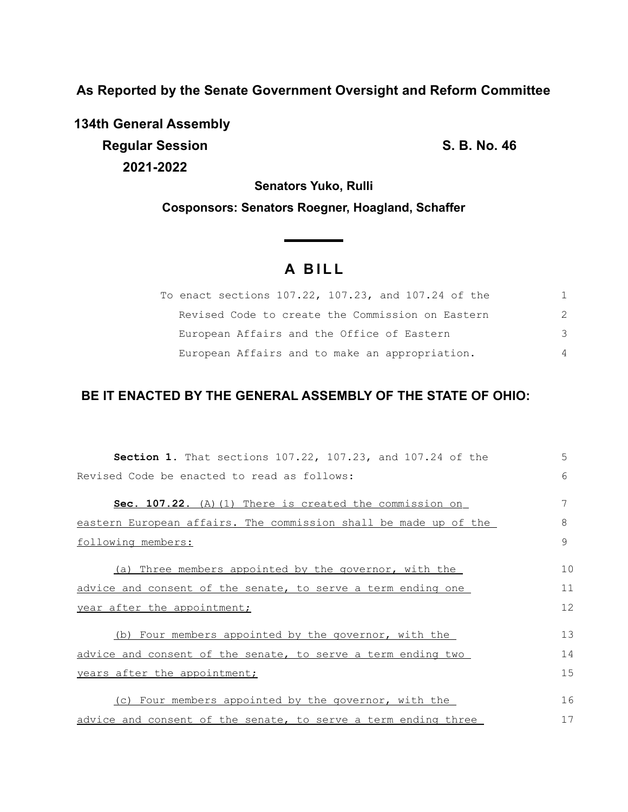**As Reported by the Senate Government Oversight and Reform Committee**

**134th General Assembly Regular Session S. B. No. 46 2021-2022**

**Senators Yuko, Rulli**

**Cosponsors: Senators Roegner, Hoagland, Schaffer**

# **A B I L L**

**Service Controller** 

| To enact sections 107.22, 107.23, and 107.24 of the |                |
|-----------------------------------------------------|----------------|
| Revised Code to create the Commission on Eastern    | 2              |
| European Affairs and the Office of Eastern          | 3              |
| European Affairs and to make an appropriation.      | $\overline{4}$ |

# **BE IT ENACTED BY THE GENERAL ASSEMBLY OF THE STATE OF OHIO:**

| Section 1. That sections 107.22, 107.23, and 107.24 of the       | 5  |  |  |  |
|------------------------------------------------------------------|----|--|--|--|
| Revised Code be enacted to read as follows:                      |    |  |  |  |
| Sec. 107.22. (A) (1) There is created the commission on          | 7  |  |  |  |
| eastern European affairs. The commission shall be made up of the | 8  |  |  |  |
| following members:                                               | 9  |  |  |  |
| (a) Three members appointed by the governor, with the            | 10 |  |  |  |
| advice and consent of the senate, to serve a term ending one     | 11 |  |  |  |
| year after the appointment;                                      |    |  |  |  |
| (b) Four members appointed by the governor, with the             | 13 |  |  |  |
| advice and consent of the senate, to serve a term ending two     | 14 |  |  |  |
| years after the appointment;                                     |    |  |  |  |
|                                                                  |    |  |  |  |
| (c) Four members appointed by the governor, with the             | 16 |  |  |  |
| advice and consent of the senate, to serve a term ending three   |    |  |  |  |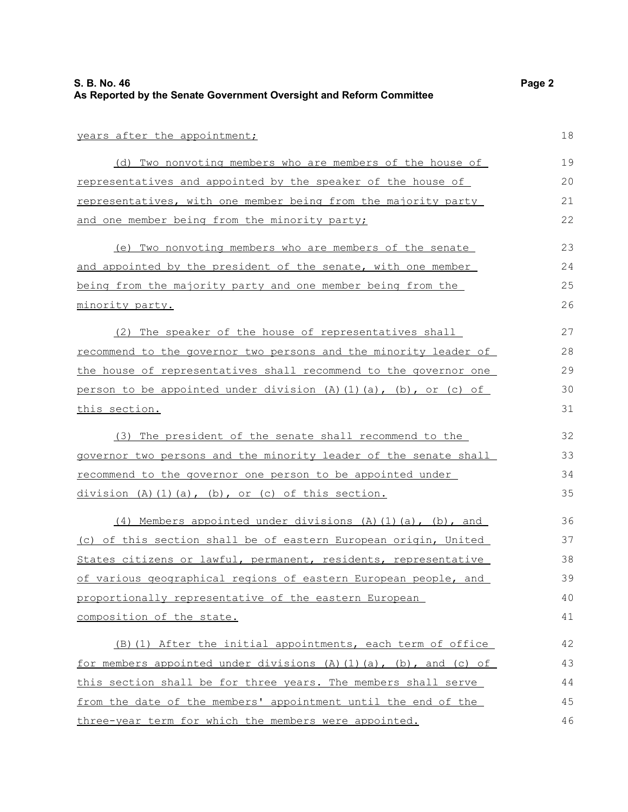#### years after the appointment;

(d) Two nonvoting members who are members of the house of representatives and appointed by the speaker of the house of representatives, with one member being from the majority party and one member being from the minority party; 19 20 21 22

(e) Two nonvoting members who are members of the senate and appointed by the president of the senate, with one member being from the majority party and one member being from the minority party.

(2) The speaker of the house of representatives shall recommend to the governor two persons and the minority leader of the house of representatives shall recommend to the governor one person to be appointed under division  $(A)$   $(1)$   $(a)$ ,  $(b)$ , or  $(c)$  of this section.

(3) The president of the senate shall recommend to the governor two persons and the minority leader of the senate shall recommend to the governor one person to be appointed under division  $(A)$   $(1)$   $(a)$ ,  $(b)$ , or  $(c)$  of this section.

(4) Members appointed under divisions  $(A)$   $(1)$   $(a)$ ,  $(b)$ , and (c) of this section shall be of eastern European origin, United States citizens or lawful, permanent, residents, representative of various geographical regions of eastern European people, and proportionally representative of the eastern European composition of the state.

(B)(1) After the initial appointments, each term of office for members appointed under divisions  $(A)(1)(a)$ ,  $(b)$ , and  $(c)$  of this section shall be for three years. The members shall serve from the date of the members' appointment until the end of the three-year term for which the members were appointed. 42 43 44 45 46

18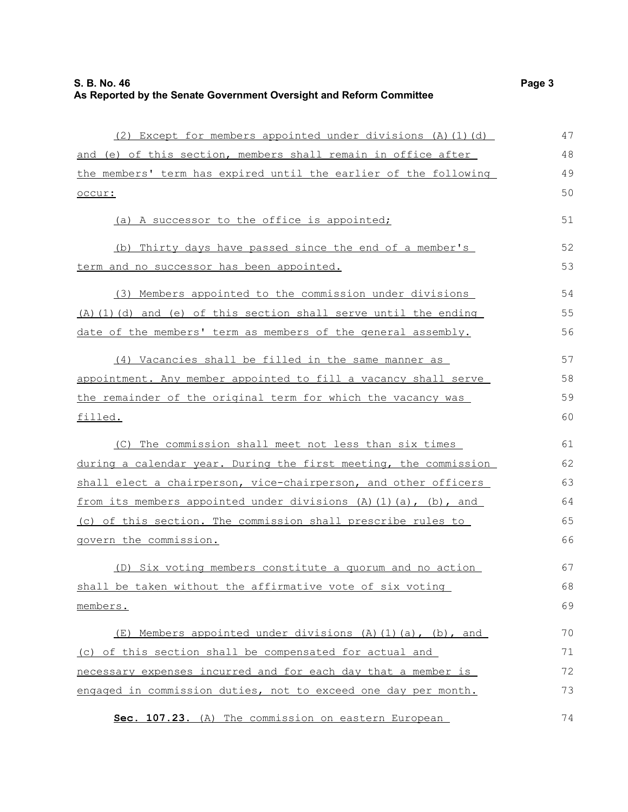| (2) Except for members appointed under divisions (A)(1)(d)       | 47 |
|------------------------------------------------------------------|----|
| and (e) of this section, members shall remain in office after    | 48 |
| the members' term has expired until the earlier of the following | 49 |
| occur:                                                           | 50 |
| (a) A successor to the office is appointed;                      | 51 |
| (b) Thirty days have passed since the end of a member's          | 52 |
| term and no successor has been appointed.                        | 53 |
| (3) Members appointed to the commission under divisions          | 54 |
| (A) (1) (d) and (e) of this section shall serve until the ending | 55 |
| date of the members' term as members of the general assembly.    | 56 |
| (4) Vacancies shall be filled in the same manner as              | 57 |
| appointment. Any member appointed to fill a vacancy shall serve  | 58 |
| the remainder of the original term for which the vacancy was     | 59 |
| filled.                                                          | 60 |
| (C) The commission shall meet not less than six times            | 61 |
| during a calendar year. During the first meeting, the commission | 62 |
| shall elect a chairperson, vice-chairperson, and other officers  | 63 |
| from its members appointed under divisions (A)(1)(a), (b), and   | 64 |
| (c) of this section. The commission shall prescribe rules to     | 65 |
| govern the commission.                                           | 66 |
| (D) Six voting members constitute a quorum and no action         | 67 |
| shall be taken without the affirmative vote of six voting        | 68 |
| members.                                                         | 69 |
| (E) Members appointed under divisions (A) (1) (a), (b), and      | 70 |
| (c) of this section shall be compensated for actual and          | 71 |
| necessary expenses incurred and for each day that a member is    | 72 |
| engaged in commission duties, not to exceed one day per month.   | 73 |
| Sec. 107.23. (A) The commission on eastern European              | 74 |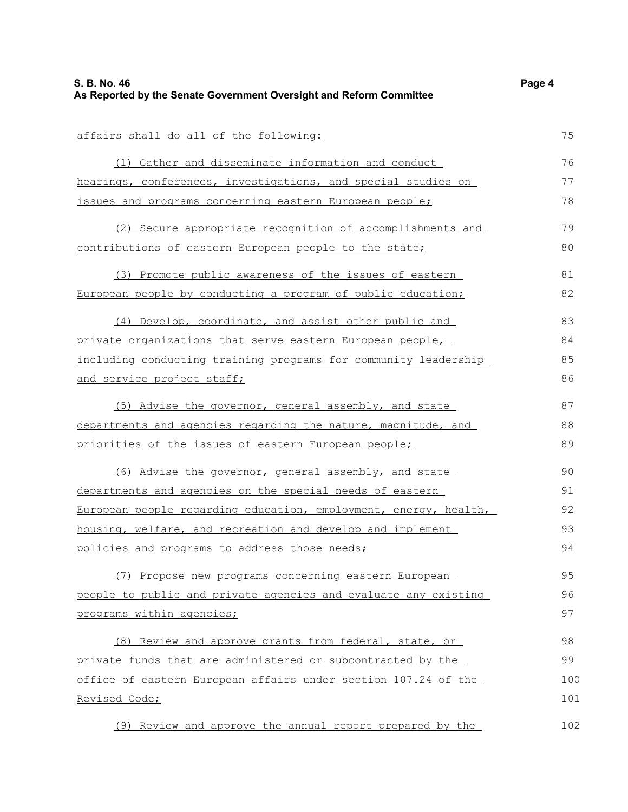| affairs shall do all of the following:                           | 75  |  |  |  |
|------------------------------------------------------------------|-----|--|--|--|
| (1) Gather and disseminate information and conduct               | 76  |  |  |  |
| hearings, conferences, investigations, and special studies on    |     |  |  |  |
| issues and programs concerning eastern European people;          | 78  |  |  |  |
| (2) Secure appropriate recognition of accomplishments and        | 79  |  |  |  |
| contributions of eastern European people to the state;           | 80  |  |  |  |
|                                                                  |     |  |  |  |
| (3) Promote public awareness of the issues of eastern            | 81  |  |  |  |
| European people by conducting a program of public education;     | 82  |  |  |  |
| (4) Develop, coordinate, and assist other public and             | 83  |  |  |  |
| private organizations that serve eastern European people,        | 84  |  |  |  |
| including conducting training programs for community leadership  | 85  |  |  |  |
| and service project staff;                                       | 86  |  |  |  |
| (5) Advise the governor, general assembly, and state             | 87  |  |  |  |
| departments and agencies regarding the nature, magnitude, and    | 88  |  |  |  |
| priorities of the issues of eastern European people;             |     |  |  |  |
|                                                                  | 89  |  |  |  |
| (6) Advise the governor, general assembly, and state             | 90  |  |  |  |
| departments and agencies on the special needs of eastern         | 91  |  |  |  |
| European people regarding education, employment, energy, health, |     |  |  |  |
| housing, welfare, and recreation and develop and implement       |     |  |  |  |
| policies and programs to address those needs;                    | 94  |  |  |  |
| (7) Propose new programs concerning eastern European             | 95  |  |  |  |
| people to public and private agencies and evaluate any existing  | 96  |  |  |  |
| programs within agencies;                                        | 97  |  |  |  |
| (8) Review and approve grants from federal, state, or            | 98  |  |  |  |
| private funds that are administered or subcontracted by the      | 99  |  |  |  |
| office of eastern European affairs under section 107.24 of the   | 100 |  |  |  |
| Revised Code;                                                    | 101 |  |  |  |
|                                                                  |     |  |  |  |
| (9) Review and approve the annual report prepared by the         | 102 |  |  |  |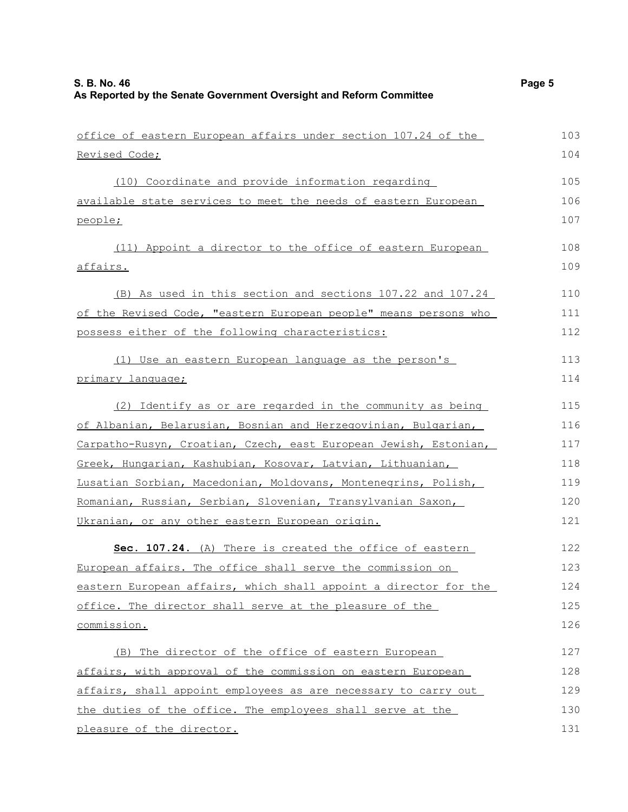| office of eastern European affairs under section 107.24 of the   | 103 |
|------------------------------------------------------------------|-----|
| Revised Code;                                                    | 104 |
| (10) Coordinate and provide information regarding                | 105 |
| available state services to meet the needs of eastern European   | 106 |
| people;                                                          | 107 |
| (11) Appoint a director to the office of eastern European        | 108 |
| affairs.                                                         | 109 |
| (B) As used in this section and sections 107.22 and 107.24       | 110 |
| of the Revised Code, "eastern European people" means persons who | 111 |
| possess either of the following characteristics:                 | 112 |
| (1) Use an eastern European language as the person's             | 113 |
| primary language;                                                | 114 |
| (2) Identify as or are regarded in the community as being        | 115 |
| of Albanian, Belarusian, Bosnian and Herzegovinian, Bulgarian,   | 116 |
| Carpatho-Rusyn, Croatian, Czech, east European Jewish, Estonian, | 117 |
| Greek, Hungarian, Kashubian, Kosovar, Latvian, Lithuanian,       | 118 |
| Lusatian Sorbian, Macedonian, Moldovans, Montenegrins, Polish,   | 119 |
| Romanian, Russian, Serbian, Slovenian, Transylvanian Saxon,      | 120 |
| Ukranian, or any other eastern European origin.                  | 121 |
| Sec. 107.24. (A) There is created the office of eastern          | 122 |
| European affairs. The office shall serve the commission on       | 123 |
| eastern European affairs, which shall appoint a director for the | 124 |
| office. The director shall serve at the pleasure of the          | 125 |
| commission.                                                      | 126 |
| (B) The director of the office of eastern European               | 127 |
| affairs, with approval of the commission on eastern European     | 128 |
| affairs, shall appoint employees as are necessary to carry out   | 129 |
| the duties of the office. The employees shall serve at the       | 130 |
| pleasure of the director.                                        | 131 |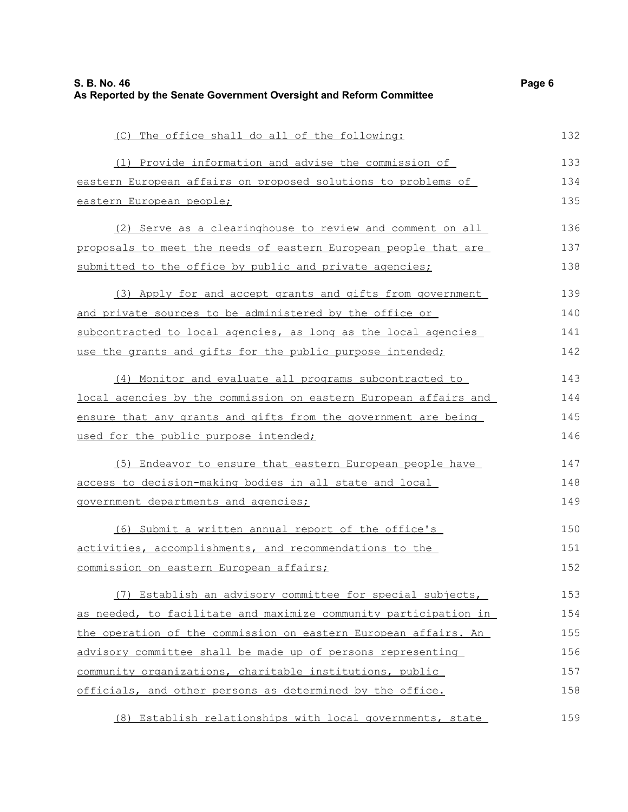| (C) The office shall do all of the following:                    | 132 |
|------------------------------------------------------------------|-----|
| (1) Provide information and advise the commission of             | 133 |
| eastern European affairs on proposed solutions to problems of    | 134 |
| <u>eastern European people;</u>                                  | 135 |
| (2) Serve as a clearinghouse to review and comment on all        | 136 |
| proposals to meet the needs of eastern European people that are  | 137 |
| submitted to the office by public and private agencies;          | 138 |
| (3) Apply for and accept grants and gifts from government        | 139 |
| and private sources to be administered by the office or          | 140 |
| subcontracted to local agencies, as long as the local agencies   | 141 |
| use the grants and gifts for the public purpose intended;        | 142 |
| (4) Monitor and evaluate all programs subcontracted to           | 143 |
| local agencies by the commission on eastern European affairs and | 144 |
| ensure that any grants and gifts from the government are being   | 145 |
| used for the public purpose intended;                            | 146 |
| (5) Endeavor to ensure that eastern European people have         | 147 |
| <u>access to decision-making bodies in all state and local</u>   | 148 |
| <u>government departments and agencies;</u>                      | 149 |
| (6) Submit a written annual report of the office's               | 150 |
| activities, accomplishments, and recommendations to the          | 151 |
| commission on eastern European affairs;                          | 152 |
| (7) Establish an advisory committee for special subjects,        | 153 |
| as needed, to facilitate and maximize community participation in | 154 |
| the operation of the commission on eastern European affairs. An  | 155 |
| advisory committee shall be made up of persons representing      | 156 |
| community organizations, charitable institutions, public         | 157 |
| officials, and other persons as determined by the office.        | 158 |
|                                                                  |     |

(8) Establish relationships with local governments, state 159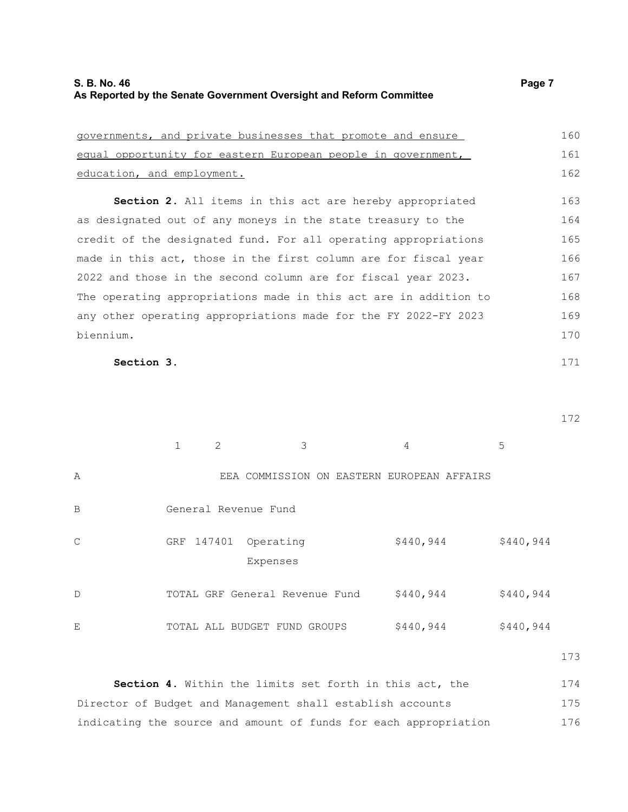| governments, and private businesses that promote and ensure  | 160 |
|--------------------------------------------------------------|-----|
| equal opportunity for eastern European people in government, | 161 |
| education, and employment.                                   | 162 |

**Section 2.** All items in this act are hereby appropriated as designated out of any moneys in the state treasury to the credit of the designated fund. For all operating appropriations made in this act, those in the first column are for fiscal year 2022 and those in the second column are for fiscal year 2023. The operating appropriations made in this act are in addition to any other operating appropriations made for the FY 2022-FY 2023 biennium. 163 164 165 166 167 168 169 170

### **Section 3.**

|              |            | $\mathcal{L}$ | 3                                          |        | 4         | 5         |  |
|--------------|------------|---------------|--------------------------------------------|--------|-----------|-----------|--|
| Α            |            |               | EEA COMMISSION ON EASTERN EUROPEAN AFFAIRS |        |           |           |  |
| B            |            |               | General Revenue Fund                       |        |           |           |  |
| $\mathsf{C}$ | GRF 147401 |               | Operating<br>Expenses                      |        | \$440,944 | \$440,944 |  |
| D            |            |               | TOTAL GRF General Revenue Fund             |        | \$440,944 | \$440,944 |  |
| Ε            |            |               | TOTAL ALL BUDGET FUND                      | GROUPS | \$440,944 | \$440,944 |  |

173

**Section 4.** Within the limits set forth in this act, the Director of Budget and Management shall establish accounts indicating the source and amount of funds for each appropriation 174 175 176

172

171